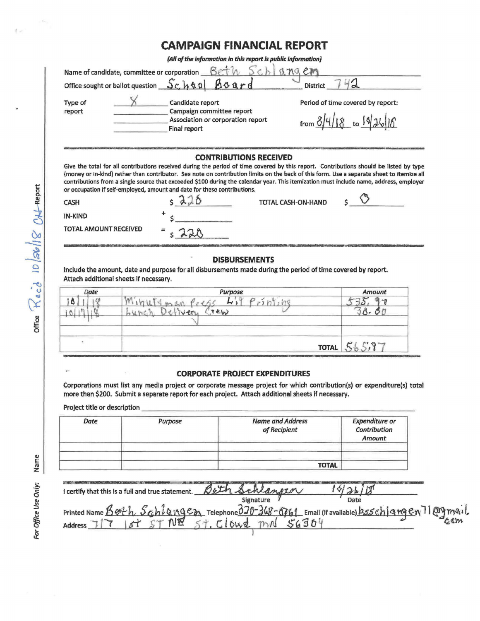## **CAMPAIGN FINANCIAL REPORT**

(All of the information in this report is public information)

| <b>Type of</b> | Candidate report                  | Period of time covered by report: |
|----------------|-----------------------------------|-----------------------------------|
| report         | Campaign committee report         |                                   |
|                | Association or corporation report | from $8/4/18$ to $9/26/16$        |
|                | Final report                      |                                   |

(money or in-kind) rather than contributor. See note on contribution limits on the back of this form. Use a separate sheet to itemize all contributions from a single source that exceeded \$100 during the calendar year. This itemization must include name, address, employer or occupation if self-employed, amount and date for these contributions.

| <b>CASH</b>           | $\wedge$ | TOTAL CASH-ON-HAND |  |
|-----------------------|----------|--------------------|--|
| <b>IN-KIND</b>        |          |                    |  |
| TOTAL AMOUNT RECEIVED | $= 178$  |                    |  |

## **DISBURSEMENTS**

Include the amount, date and purpose for all disbursements made during the period of time covered by report. Attach additional sheets if necessary.

| Purpose  | Amount       |
|----------|--------------|
| hn"<br>∼ |              |
| TEW      |              |
|          |              |
|          |              |
|          | $P^*Q$       |
|          | <b>TOTAL</b> |

## **CORPORATE PROJECT EXPENDITURES**

Corporations must list any media project or corporate message project for which contribution(s) or expenditure(s) total more than \$200. Submit a separate report for each project. Attach additional sheets if necessary.

Project title or description

 $\mathbf{r}^{(i)}$ 

| Date | Purpose | <b>Name and Address</b><br>of Recipient | <b>Expenditure or</b><br>Contribution<br>Amount |
|------|---------|-----------------------------------------|-------------------------------------------------|
|      |         | <b>TOTAL</b>                            |                                                 |

| I certify that this is a full and true statement. Beth Schlangen                              |                            |      |                |
|-----------------------------------------------------------------------------------------------|----------------------------|------|----------------|
| Printed Name Both Schlangen Telephone 370-368-5761 Email (if available) bsschlangen 71 @gmail | Signature                  | Date |                |
| CT NE<br><b>Address</b>                                                                       | 57.01642<br>m <sub>n</sub> |      | c <sub>3</sub> |

office  $\mathcal{R}_{ecd}$  10  $|z_0|$   $|g_1|$   $\mathcal{R}_{c}$   $\mathcal{R}_{c}$   $\mathcal{R}_{c}$   $\mathcal{R}_{c}$